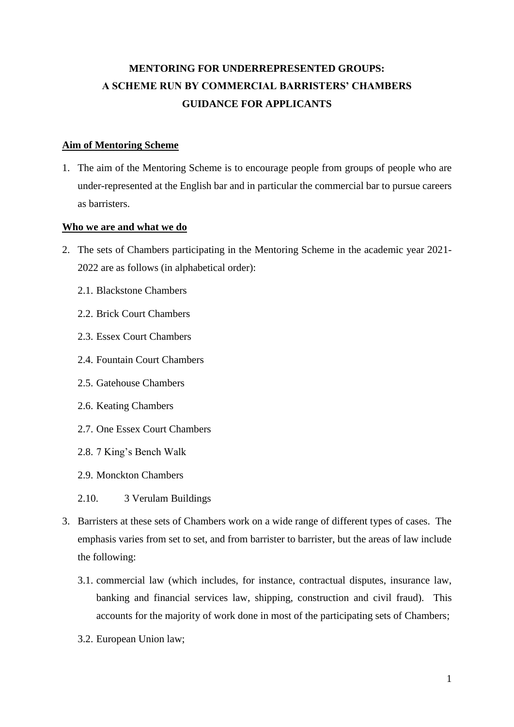# **MENTORING FOR UNDERREPRESENTED GROUPS: A SCHEME RUN BY COMMERCIAL BARRISTERS' CHAMBERS GUIDANCE FOR APPLICANTS**

# **Aim of Mentoring Scheme**

1. The aim of the Mentoring Scheme is to encourage people from groups of people who are under-represented at the English bar and in particular the commercial bar to pursue careers as barristers.

# **Who we are and what we do**

- 2. The sets of Chambers participating in the Mentoring Scheme in the academic year 2021- 2022 are as follows (in alphabetical order):
	- 2.1. Blackstone Chambers
	- 2.2. Brick Court Chambers
	- 2.3. Essex Court Chambers
	- 2.4. Fountain Court Chambers
	- 2.5. Gatehouse Chambers
	- 2.6. Keating Chambers
	- 2.7. One Essex Court Chambers
	- 2.8. 7 King's Bench Walk
	- 2.9. Monckton Chambers
	- 2.10. 3 Verulam Buildings
- 3. Barristers at these sets of Chambers work on a wide range of different types of cases. The emphasis varies from set to set, and from barrister to barrister, but the areas of law include the following:
	- 3.1. commercial law (which includes, for instance, contractual disputes, insurance law, banking and financial services law, shipping, construction and civil fraud). This accounts for the majority of work done in most of the participating sets of Chambers;
	- 3.2. European Union law;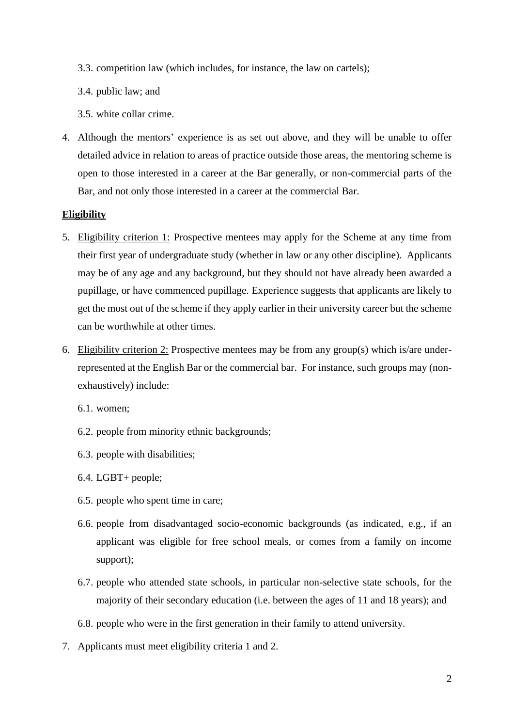- 3.3. competition law (which includes, for instance, the law on cartels);
- 3.4. public law; and
- 3.5. white collar crime.
- 4. Although the mentors' experience is as set out above, and they will be unable to offer detailed advice in relation to areas of practice outside those areas, the mentoring scheme is open to those interested in a career at the Bar generally, or non-commercial parts of the Bar, and not only those interested in a career at the commercial Bar.

#### **Eligibility**

- 5. Eligibility criterion 1: Prospective mentees may apply for the Scheme at any time from their first year of undergraduate study (whether in law or any other discipline). Applicants may be of any age and any background, but they should not have already been awarded a pupillage, or have commenced pupillage. Experience suggests that applicants are likely to get the most out of the scheme if they apply earlier in their university career but the scheme can be worthwhile at other times.
- <span id="page-1-0"></span>6. Eligibility criterion 2: Prospective mentees may be from any group(s) which is/are underrepresented at the English Bar or the commercial bar. For instance, such groups may (nonexhaustively) include:
	- 6.1. women;
	- 6.2. people from minority ethnic backgrounds;
	- 6.3. people with disabilities;
	- 6.4. LGBT+ people;
	- 6.5. people who spent time in care;
	- 6.6. people from disadvantaged socio-economic backgrounds (as indicated, e.g., if an applicant was eligible for free school meals, or comes from a family on income support);
	- 6.7. people who attended state schools, in particular non-selective state schools, for the majority of their secondary education (i.e. between the ages of 11 and 18 years); and
	- 6.8. people who were in the first generation in their family to attend university.
- 7. Applicants must meet eligibility criteria 1 and 2.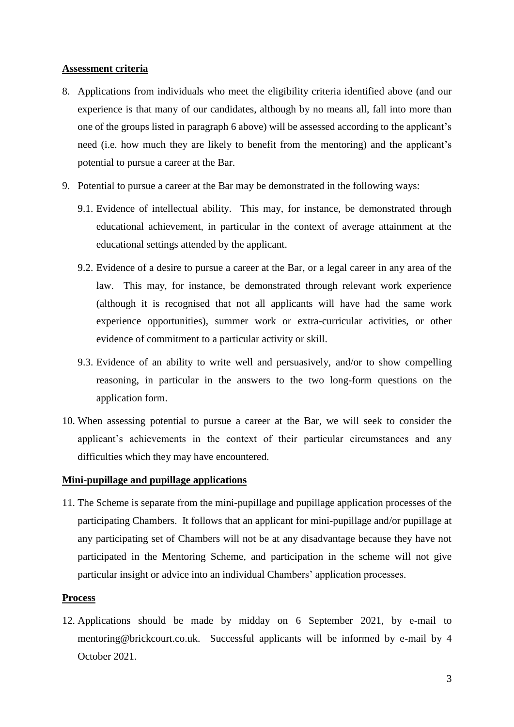#### **Assessment criteria**

- 8. Applications from individuals who meet the eligibility criteria identified above (and our experience is that many of our candidates, although by no means all, fall into more than one of the groups listed in paragraph [6](#page-1-0) above) will be assessed according to the applicant's need (i.e. how much they are likely to benefit from the mentoring) and the applicant's potential to pursue a career at the Bar.
- 9. Potential to pursue a career at the Bar may be demonstrated in the following ways:
	- 9.1. Evidence of intellectual ability. This may, for instance, be demonstrated through educational achievement, in particular in the context of average attainment at the educational settings attended by the applicant.
	- 9.2. Evidence of a desire to pursue a career at the Bar, or a legal career in any area of the law. This may, for instance, be demonstrated through relevant work experience (although it is recognised that not all applicants will have had the same work experience opportunities), summer work or extra-curricular activities, or other evidence of commitment to a particular activity or skill.
	- 9.3. Evidence of an ability to write well and persuasively, and/or to show compelling reasoning, in particular in the answers to the two long-form questions on the application form.
- 10. When assessing potential to pursue a career at the Bar, we will seek to consider the applicant's achievements in the context of their particular circumstances and any difficulties which they may have encountered.

# **Mini-pupillage and pupillage applications**

11. The Scheme is separate from the mini-pupillage and pupillage application processes of the participating Chambers. It follows that an applicant for mini-pupillage and/or pupillage at any participating set of Chambers will not be at any disadvantage because they have not participated in the Mentoring Scheme, and participation in the scheme will not give particular insight or advice into an individual Chambers' application processes.

#### **Process**

12. Applications should be made by midday on 6 September 2021, by e-mail to mentoring@brickcourt.co.uk. Successful applicants will be informed by e-mail by 4 October 2021.